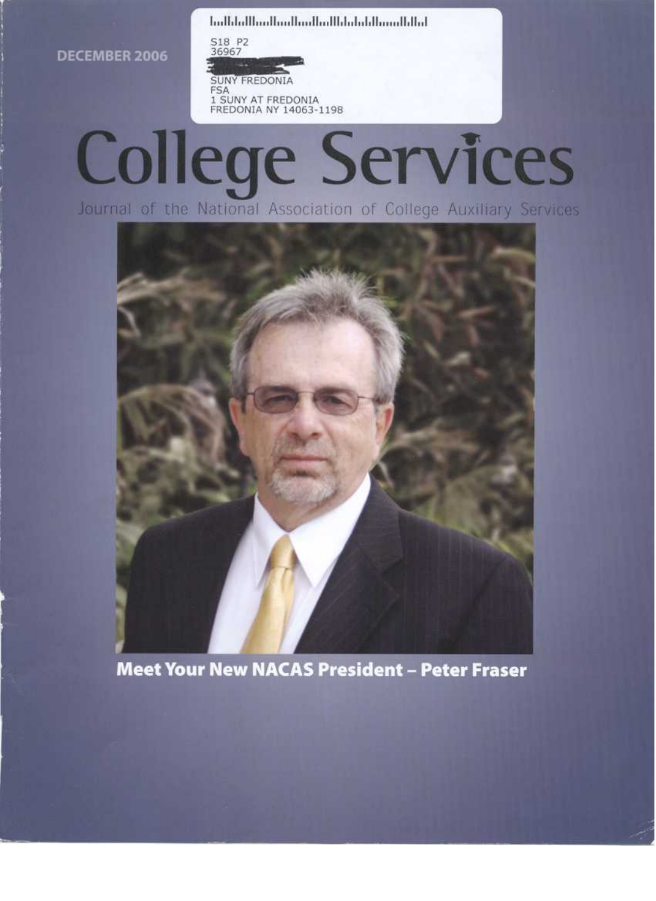انتالتان ستاياته انتالتنا استانسا استالتنا التابيات S18 P2<br>36967

**DECEMBER 2006** 

**SUNY FREDONIA** FSA<br>1 SUNY AT FREDONIA<br>FREDONIA NY 14063-1198





**Meet Your New NACAS President - Peter Fraser**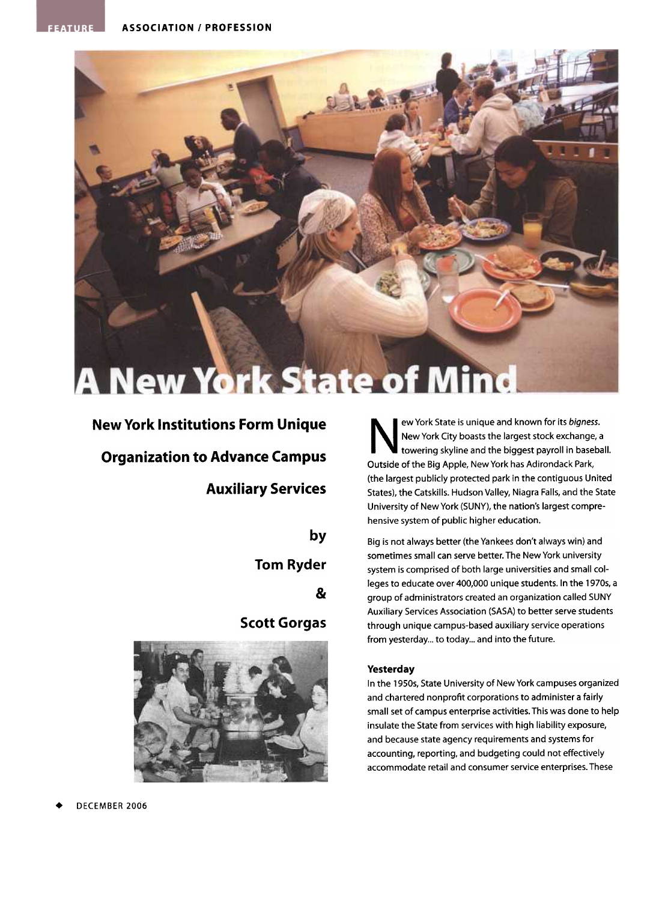

# New York Institutions Form Unique Organization to Advance Campus Auxiliary Services

Tom Ryder

&

Scott Gorgas



ew York State is unique and known for its bigness. New York City boasts the largest stock exchange, a towering skyline and the biggest payroll in baseball. Outside of the Big Apple, New York has Adirondack Park, {the largest publicly protected park in the contiguous United States), the Catskills. Hudson Valley, Niagra Falls, and the State University of New York {SUNY), the nation's largest comprehensive system of public higher education.

by Big is not always better (the Yankees don't always win) and sometimes small can serve better. The New York university system is comprised of both large universities and small colleges to educate over 400,000 unique students. In the 19705, a group of administrators created an organization called SUNY Auxiliary Services Association (SASA) to better serve students through unique campus-based auxiliary service operations from yesterday... to today... and into the future.

### Yesterday

In the 19505, State University of New York campuses organized and chartered nonprofit corporations to administer a fairly small set of campus enterprise activities. This was done to help insulate the State from services with high liability exposure, and because state agency requirements and systems for accounting, reporting, and budgeting could not effectively accommodate retail and consumer service enterprises. These

. DECEMBER 2006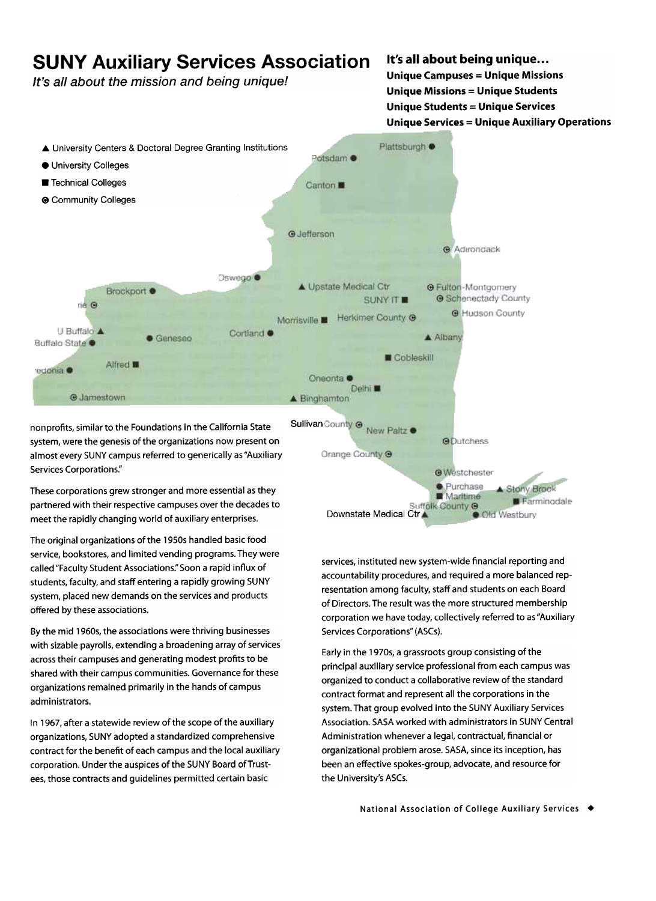## SUNY Auxiliary Services Association

It's all about the mission and being unique!

It's all about being unique... Unique Campuses = Unique Missions Unique Missions = Unique Students Unique Students = Unique Services Unique Services = Unique Auxiliary Operations



Orange County <sup>®</sup>

system, were the genesis of the organizations now present on almost every SUNY campus referred to generically as "Auxiliary Services Corporations:'

These corporations grew stronger and more essential as they partnered with their respective campuses over the decades to partnered with their respective campuses over the decades to<br>meet the rapidly changing world of auxiliary enterprises. Downstate Medical Ctr

The original organizations of the 19505 handled basic food service, bookstores, and limited vending programs. They were called "Faculty Student Associations:' Soon a rapid influx of students, faculty, and staff entering a rapidly growing SUNY system, placed new demands on the services and products offered by these associations.

By the mid 1960s, the associations were thriving businesses Services Corporations" (ASCs). with sizable payrolls, extending a broadening array of services across their campuses and generating modest profits to be shared with their campus communities. Governance for these organizations remained primarily in the hands of campus administrators.

In 1967, after a statewide review of the scope of the auxiliary organizations, SUNY adopted a standardized comprehensive contract for the benefit of each campus and the local auxiliary corporation. Under the auspices of the SUNY Board of Trustees, those contracts and guidelines permitted certain basic

services, instituted new system-wide financial reporting and accountability procedures, and required a more balanced representation among faculty, staff and students on each Board of Directors. The result was the more structured membership corporation we have today, collectively referred to as "Auxiliary

**GDutchess** 

@Westchester · Purchase

**III** Maritime

Stony Brock

Old Westbury

Farminodale

Early in the 19705, a grassroots group consisting of the principal auxiliary service professional from each campus was organized to conduct a collaborative review of the standard contract format and represent all the corporations in the system. That group evolved into the SUNY Auxiliary Services Association. SASA worked with administrators in SUNY Central Administration whenever a legal, contractual, financial or organizational problem arose. SASA, since its inception, has been an effective spokes-group, advocate, and resource for the University's ASCs.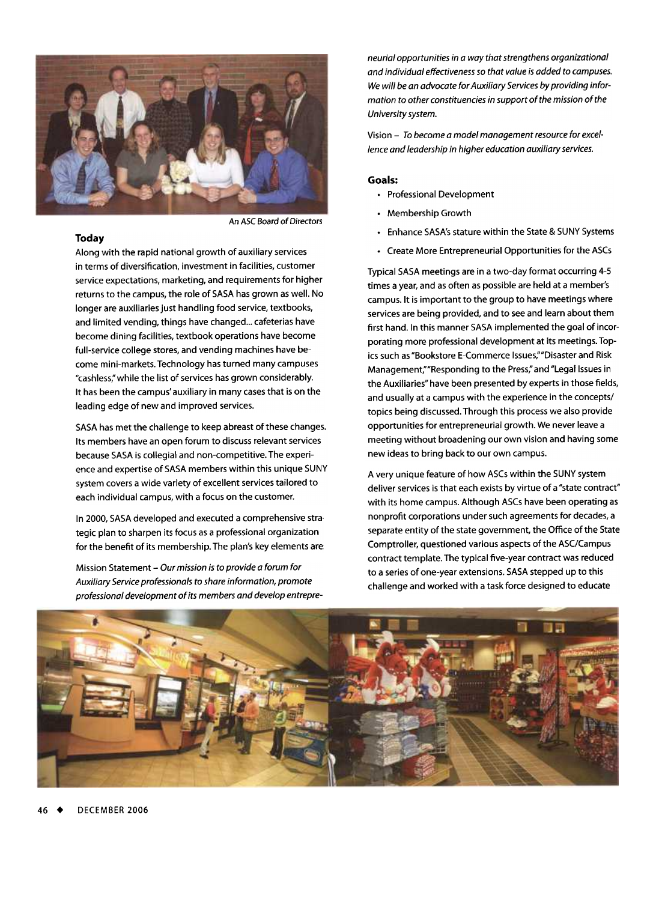

An ASC Board of Directors

#### Today

Along with the rapid national growth of auxiliary services in terms of diversification, investment in facilities, customer service expectations, marketing, and requirements for higher returns to the campus, the role of SASA has grown as well. No longer are auxiliaries just handling food service, textbooks, and limited vending, things have changed... cafeterias have become dining facilities, textbook operations have become full-service college stores, and vending machines have become mini-markets. Technology has turned many campuses "cashless;' while the list of services has grown considerably. It has been the campus' auxiliary in many cases that is on the leading edge of new and improved services.

SASA has met the challenge to keep abreast of these changes. Its members have an open forum to discuss relevant services because SASA is collegial and non-competitive. The experience and expertise of SASA members within this unique SUNY system covers a wide variety of excellent services tailored to each individual campus, with a focus on the customer.

In 2000, SASA developed and executed a comprehensive strategic plan to sharpen its focus as a professional organization for the benefit of its membership. The plan's key elements are

Mission Statement - Our mission is to provide a forum for Auxiliary Service professionals to share information, promote professional development of its members and develop entrepreneurial opportunities in a way that strengthens organizational and individual effectiveness so that value is added to campuses. We will be an advocate for Auxiliary Services by providing information to other constituencies in support of the mission of the University system.

Vision - To become a model management resource for excellence and leadership in higher education auxiliary services.

#### Goals:

- Professional Development
- Membership Growth
- .Enhance SASA's stature within the State & SUNY Systems
- .Create More Entrepreneurial Opportunities for the ASCs

Typical SASA meetings are in a two-day format occurring 4-5 times a year, and as often as possible are held at a member's campus. It is important to the group to have meetings where services are being provided, and to see and learn about them first hand. In this manner SASA implemented the goal of incorporating more professional development at its meetings. Topics such as "Bookstore E-Commerce Issues;"'Disaster and Risk Management;"'Responding to the Press;' and "Legal Issues in the Auxiliaries" have been presented by experts in those fields, and usually at a campus with the experience in the concepts/ topics being discussed. Through this process we also provide opportunities for entrepreneurial growth. We never leave a meeting without broadening our own vision and having some new ideas to bring back to our own campus.

A very unique feature of how ASCs within the SUNY system deliver services is that each exists by virtue of a "state contract" with its home campus. Although ASCs have been operating as nonprofit corporations under such agreements for decades, a separate entity of the state government, the Office of the State Comptroller, questioned various aspects of the ASC/Campus contract template. The typical five-year contract was reduced to a series of one-year extensions. SASA stepped up to this challenge and worked with a task force designed to educate